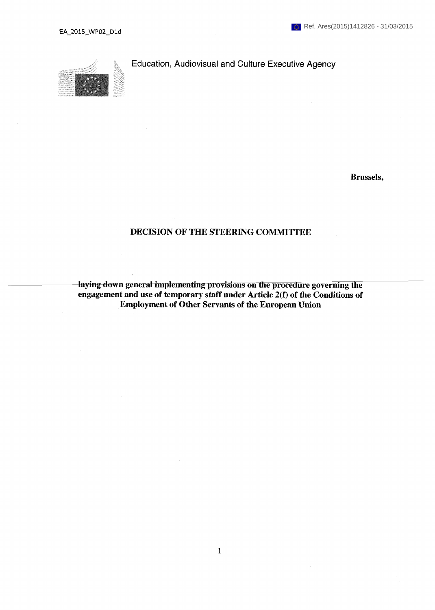

**Education, Audiovisual and Culture Executive Agency** 

**Brussels,** 

# **DECISION OF THE STEERING COMMITTEE**

laying down general implementing provisions on the procedure governing the **engagement and use of temporary staff under Article 2(f) of the Conditions of Employment of Other Servants of the European Union**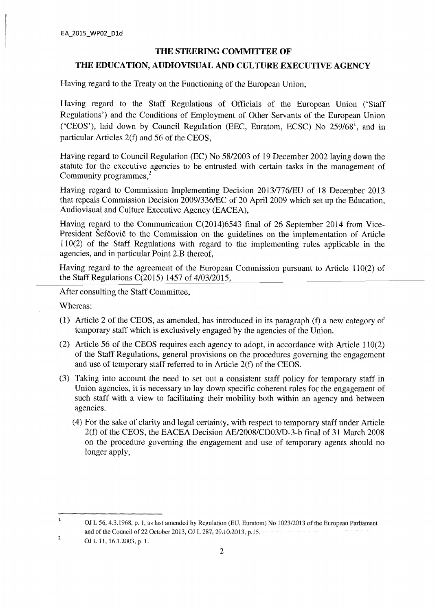#### **THE STEERING COMMITTEE OF**

### **THE EDUCATION, AUDIOVISUAL AND CULTURE EXECUTIVE AGENCY**

Having regard to the Treaty on the Functioning of the European Union,

Having regard to the Staff Regulations of Officials of the European Union ('Staff Regulations') and the Conditions of Employment of Other Servants of the European Union ('CEOS'), laid down by Council Regulation (EEC, Euratom, ECSC) No  $259/68^1$ , and in particular Articles 2(f) and 56 of the CEOS,

Having regard to Council Regulation (EC) No 58/2003 of 19 December 2002 laying down the statute for the executive agencies to be entrusted with certain tasks in the management of Community programmes,<sup>2</sup>

Having regard to Commission Implementing Decision 2013/776/EU of 18 December 2013 that repeals Commission Decision 2009/336/EC of 20 April 2009 which set up the Education, Audiovisual and Culture Executive Agency (EACEA),

Having regard to the Communication C(2014)6543 final of 26 September 2014 from Vice-President Šefčovič to the Commission on the guidelines on the implementation of Article 110(2) of the Staff Regulations with regard to the implementing rules applicable in the agencies, and in particular Point 2.B thereof,

Having regard to the agreement of the European Commission pursuant to Article 110(2) of the Staff Regulations C(2015) 1457 of 4/03/2015,

After consulting the Staff Committee,

Whereas:

- (1) Article 2 of the CEOS, as amended, has introduced in its paragraph (f) a new category of temporary staff which is exclusively engaged by the agencies of the Union.
- (2) Article 56 of the CEOS requires each agency to adopt, in accordance with Article 110(2) of the Staff Regulations, general provisions on the procedures governing the engagement and use of temporary staff referred to in Article 2(f) of the CEOS.
- (3) Taking into account the need to set out a consistent staff policy for temporary staff in Union agencies, it is necessary to lay down specific coherent rules for the engagement of such staff with a view to facilitating their mobility both within an agency and between agencies.
	- (4) For the sake of clarity and legal certainty, with respect to temporary staff under Article 2(f) of the CEOS, the EACEA Decision AE/2008/CD03/D-3-b final of 31 March 2008 on the procedure governing the engagement and use of temporary agents should no longer apply,

 $\mathbf 1$ OJ L 56, 4.3.1968, p. 1, as last amended by Regulation (EU, Euratom) No 1023/2013 of the European Parliament and of the Council of 22 October 2013, OJ L 287, 29.10.2013, p.15.

 $\overline{2}$ OJ L 11, 16.1.2003, p. 1.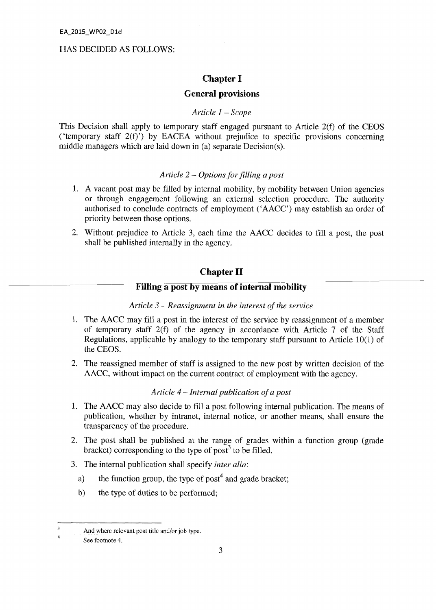### HAS DECIDED AS FOLLOWS:

## **Chapter I**

## **General provisions**

### *Article 1 - Scope*

This Decision shall apply to temporary staff engaged pursuant to Article 2(f) of the CEOS ('temporary staff 2(f)') by EACEA without prejudice to specific provisions concerning middle managers which are laid down in (a) separate Decision(s).

### *Article 2 - Options for filling a post*

- 1. A vacant post may be filled by internal mobility, by mobility between Union agencies or through engagement following an external selection procedure. The authority authorised to conclude contracts of employment ('AACC') may establish an order of priority between those options.
- 2. Without prejudice to Article 3, each time the AACC decides to fill a post, the post shall be published internally in the agency.

# **Chapter II**

# **Filling a post by means of internal mobility**

#### *Article 3 - Reassignment in the interest of the service*

- 1. The AACC may fill a post in the interest of the service by reassignment of a member of temporary staff 2(f) of the agency in accordance with Article 7 of the Staff Regulations, applicable by analogy to the temporary staff pursuant to Article 10(1) of the CEOS.
- 2. The reassigned member of staff is assigned to the new post by written decision of the AACC, without impact on the current contract of employment with the agency.

### *Article 4 — Internal publication of a post*

- 1. The AACC may also decide to fill a post following internal publication. The means of publication, whether by intranet, internal notice, or another means, shall ensure the transparency of the procedure.
- 2. The post shall be published at the range of grades within a function group (grade bracket) corresponding to the type of post<sup>3</sup> to be filled.
- 3. The internal publication shall specify *inter alia:* 
	- a) the function group, the type of post<sup>4</sup> and grade bracket;
	- b) the type of duties to be performed;

**<sup>3</sup>**  4 And where relevant post title and/or job type.

See footnote 4.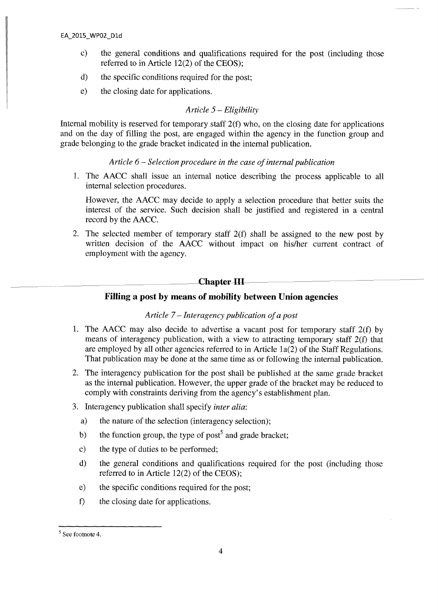- c) the general conditions and qualifications required for the post (including those referred to in Article 12(2) of the CEOS);
- d) the specific conditions required for the post;
- e) the closing date for applications.

## *Article 5 - Eligibility*

Internal mobility is reserved for temporary staff 2(f) who, on the closing date for applications and on the day of filling the post, are engaged within the agency in the function group and grade belonging to the grade bracket indicated in the internal publication.

## *Article 6 - Selection procedure in the case of internal publication*

1. The AACC shall issue an internal notice describing the process applicable to all internal selection procedures.

However, the AACC may decide to apply a selection procedure that better suits the interest of the service. Such decision shall be justified and registered in a central record by the AACC.

2. The selected member of temporary staff 2(f) shall be assigned to the new post by written decision of the AACC without impact on his/her current contract of employment with the agency.

## **Chapter III**

# **Filling a post by means of mobility between Union agencies**

#### *Article 7 - Interagency publication of a post*

- 1. The AACC may also decide to advertise a vacant post for temporary staff 2(f) by means of interagency publication, with a view to attracting temporary staff  $2(f)$  that are employed by all other agencies referred to in Article la(2) of the Staff Regulations. That publication may be done at the same time as or following the internal publication.
- 2. The interagency publication for the post shall be published at the same grade bracket as the internal publication. However, the upper grade of the bracket may be reduced to comply with constraints deriving from the agency's establishment plan.
- 3. Interagency publication shall specify *inter alia:* 
	- a) the nature of the selection (interagency selection);
	- b) the function group, the type of post<sup>5</sup> and grade bracket;
	- c) the type of duties to be performed;
	- d) the general conditions and qualifications required for the post (including those referred to in Article 12(2) of the CEOS);
	- e) the specific conditions required for the post;
	- f) the closing date for applications.

<sup>&</sup>lt;sup>5</sup> See footnote 4.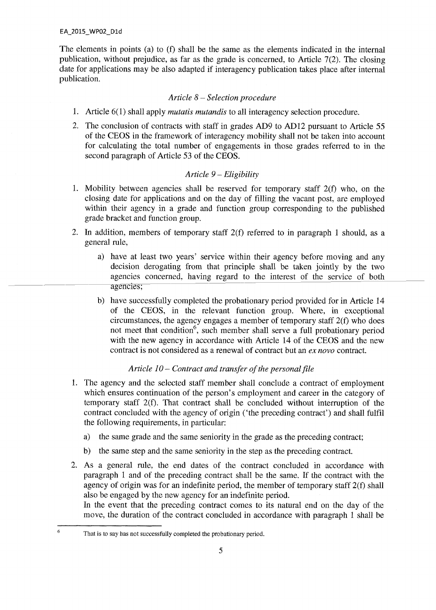The elements in points (a) to (f) shall be the same as the elements indicated in the internal publication, without prejudice, as far as the grade is concerned, to Article 7(2). The closing date for applications may be also adapted if interagency publication takes place after internal publication.

### *Article 8 - Selection procedure*

- 1. Article 6(1) shall apply *mutatis mutandis* to all interagency selection procedure.
- 2. The conclusion of contracts with staff in grades AD9 to AD12 pursuant to Article 55 of the CEOS in the framework of interagency mobility shall not be taken into account for calculating the total number of engagements in those grades referred to in the second paragraph of Article 53 of the CEOS.

## *Article 9 - Eligibility*

- 1. Mobility between agencies shall be reserved for temporary staff 2(f) who, on the closing date for applications and on the day of filling the vacant post, are employed within their agency in a grade and function group corresponding to the published grade bracket and function group.
- 2. In addition, members of temporary staff 2(f) referred to in paragraph 1 should, as a general rule,
	- a) have at least two years' service within their agency before moving and any decision derogating from that principle shall be taken jointly by the two agencies concerned, having regard to the interest of the service of both agencies;
	- b) have successfully completed the probationary period provided for in Article 14 of the CEOS, in the relevant function group. Where, in exceptional circumstances, the agency engages a member of temporary staff 2(f) who does not meet that condition<sup>6</sup>, such member shall serve a full probationary period with the new agency in accordance with Article 14 of the CEOS and the new contract is not considered as a renewal of contract but an *ex novo* contract.

## *Article 10 - Contract and transfer of the personal file*

- 1. The agency and the selected staff member shall conclude a contract of employment which ensures continuation of the person's employment and career in the category of temporary staff 2(f). That contract shall be concluded without interruption of the contract concluded with the agency of origin ('the preceding contract') and shall fulfil the following requirements, in particular:
	- a) the same grade and the same seniority in the grade as the preceding contract;
	- b) the same step and the same seniority in the step as the preceding contract.
- 2. As a general rule, the end dates of the contract concluded in accordance with paragraph 1 and of the preceding contract shall be the same. If the contract with the agency of origin was for an indefinite period, the member of temporary staff 2(f) shall also be engaged by the new agency for an indefinite period. In the event that the preceding contract comes to its natural end on the day of the move, the duration of the contract concluded in accordance with paragraph 1 shall be

<sup>6</sup> 

That is to say has not successfully completed the probationary period.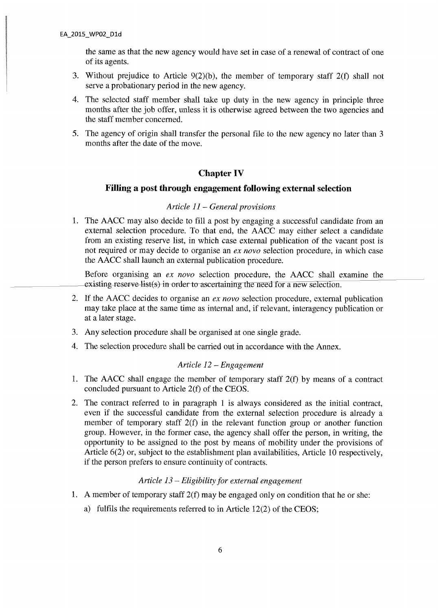the same as that the new agency would have set in case of a renewal of contract of one of its agents.

- 3. Without prejudice to Article 9(2)(b), the member of temporary staff 2(f) shall not serve a probationary period in the new agency.
- 4. The selected staff member shall take up duty in the new agency in principle three months after the job offer, unless it is otherwise agreed between the two agencies and the staff member concerned.
- 5. The agency of origin shall transfer the personal file to the new agency no later than 3 months after the date of the move.

# **Chapter IV**

### **Filling a post through engagement following external selection**

#### *Article 11 - General provisions*

1. The AACC may also decide to fill a post by engaging a successful candidate from an external selection procedure. To that end, the AACC may either select a candidate from an existing reserve list, in which case external publication of the vacant post is not required or may decide to organise an *ex novo* selection procedure, in which case the AACC shall launch an external publication procedure.

Before organising an *ex novo* selection procedure, the AACC shall examine the existing reserve list(s) in order to ascertaining the need for a new selection.

- 2. If the AACC decides to organise an *ex novo* selection procedure, external publication may take place at the same time as internal and, if relevant, interagency publication or at a later stage.
- 3. Any selection procedure shall be organised at one single grade.
- 4. The selection procedure shall be carried out in accordance with the Annex.

### *Article 12 - Engagement*

- 1. The AACC shall engage the member of temporary staff 2(f) by means of a contract concluded pursuant to Article 2(f) of the CEOS.
- 2. The contract referred to in paragraph 1 is always considered as the initial contract, even if the successful candidate from the external selection procedure is already a member of temporary staff 2(f) in the relevant function group or another function group. However, in the former case, the agency shall offer the person, in writing, the opportunity to be assigned to the post by means of mobility under the provisions of Article 6(2) or, subject to the establishment plan availabilities. Article 10 respectively, if the person prefers to ensure continuity of contracts.

### *Article 13 - Eligibility for external engagement*

- 1. A member of temporary staff 2(f) may be engaged only on condition that he or she:
	- a) fulfils the requirements referred to in Article 12(2) of the CEOS;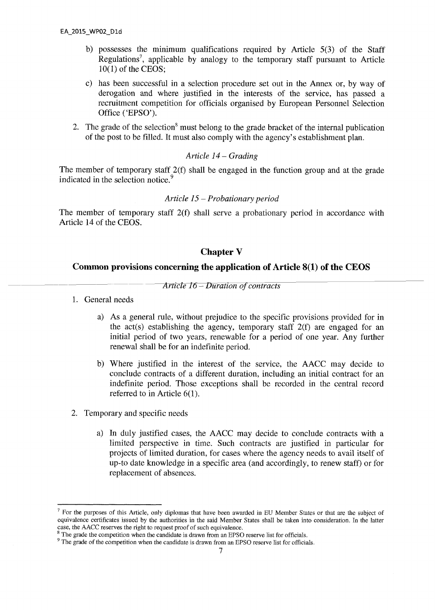- b) possesses the minimum qualifications required by Article 5(3) of the Staff Regulations<sup>7</sup>, applicable by analogy to the temporary staff pursuant to Article 10(1) of the CEOS;
- c) has been successful in a selection procedure set out in the Annex or, by way of derogation and where justified in the interests of the service, has passed a recruitment competition for officials organised by European Personnel Selection Office ('EPSO').
- 2. The grade of the selection<sup>8</sup> must belong to the grade bracket of the internal publication of the post to be filled. It must also comply with the agency's establishment plan.

## *Article 14- Grading*

The member of temporary staff 2(f) shall be engaged in the function group and at the grade indicated in the selection notice.<sup>9</sup>

#### *Article 15 - Probationary period*

The member of temporary staff 2(f) shall serve a probationary period in accordance with Article 14 of the CEOS.

## **Chapter У**

## **Common provisions concerning the application of Article 8(1) of the CEOS**

*Arlicle 16-Duration of contracts* 

- 1. General needs
	- a) As a general rule, without prejudice to the specific provisions provided for in the act(s) establishing the agency, temporary staff  $2(f)$  are engaged for an initial period of two years, renewable for a period of one year. Any further renewal shall be for an indefinite period.
	- b) Where justified in the interest of the service, the AACC may decide to conclude contracts of a different duration, including an initial contract for an indefinite period. Those exceptions shall be recorded in the central record referred to in Article 6(1).
- 2. Temporary and specific needs
	- a) In duly justified cases, the AACC may decide to conclude contracts with a limited perspective in time. Such contracts are justified in particular for projects of limited duration, for cases where the agency needs to avail itself of up-to date knowledge in a specific area (and accordingly, to renew staff) or for replacement of absences.

 $<sup>7</sup>$  For the purposes of this Article, only diplomas that have been awarded in EU Member States or that are the subject of</sup> equivalence certificates issued by the authorities in the said Member States shall be taken into consideration. In the latter case, the AACC reserves the right to request proof of such equi valence.

<sup>&</sup>lt;sup>8</sup> The grade the competition when the candidate is drawn from an EPSO reserve list for officials.

<sup>&</sup>lt;sup>9</sup> The grade of the competition when the candidate is drawn from an EPSO reserve list for officials.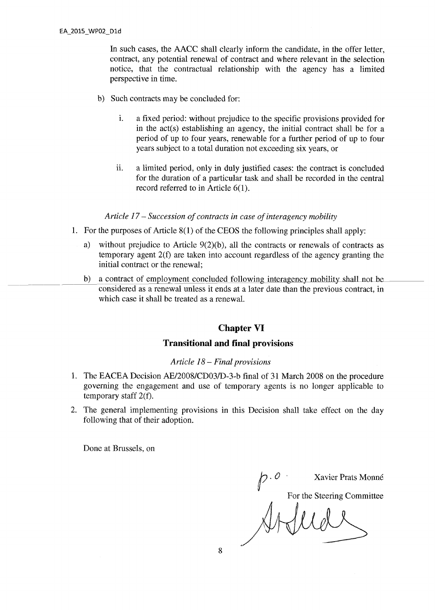In such cases, the AACC shall clearly inform the candidate, in the offer letter, contract, any potential renewal of contract and where relevant in the selection notice, that the contractual relationship with the agency has a limited perspective in time.

- b) Such contracts may be concluded for:
	- i. a fixed period: without prejudice to the specific provisions provided for in the act(s) establishing an agency, the initial contract shall be for a period of up to four years, renewable for a further period of up to four years subject to a total duration not exceeding six years, or
	- ii. a limited period, only in duly justified cases: the contract is concluded for the duration of a particular task and shall be recorded in the central record referred to in Article 6(1).

### *Article 17 - Succession of contracts in case of interagency mobility*

- 1. For the purposes of Article 8(1) of the CEOS the following principles shall apply:
	- a) without prejudice to Article 9(2)(b), all the contracts or renewals of contracts as temporary agent 2(f) are taken into account regardless of the agency granting the initial contract or the renewal;
	- b) a contract of employment concluded following interagency mobility shall not be considered as a renewal unless it ends at a later date than the previous contract, in which case it shall be treated as a renewal.

## **Chapter VI**

# **Transitional and final provisions**

#### *Article 18 - Final provisions*

- 1. The EACEA Decision AE/2008/CD03/D-3-b final of 31 March 2008 on the procedure governing the engagement and use of temporary agents is no longer applicable to temporary staff 2(f).
- 2. The general implementing provisions in this Decision shall take effect on the day following that of their adoption.

Done at Brussels, on

p. 0<br>For the Steering Committee<br>And LUCL For the Steering Committee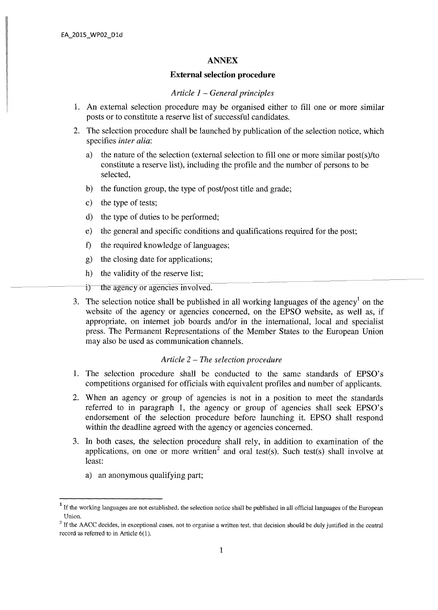#### **ANNEX**

### **External selection procedure**

#### *Article 1 - General principles*

- 1. An external selection procedure may be organised either to fill one or more similar posts or to constitute a reserve list of successful candidates.
- 2. The selection procedure shall be launched by publication of the selection notice, which specifies *inter alia:* 
	- a) the nature of the selection (external selection to fill one or more similar post(s)/to constitute a reserve list), including the profile and the number of persons to be selected,
	- b) the function group, the type of post/post title and grade;
	- c) the type of tests;
	- d) the type of duties to be performed;
	- e) the general and specific conditions and qualifications required for the post;
	- f) the required knowledge of languages;
	- g) the closing date for applications;
	- h) the validity of the reserve list;
	- i) the agency or agencies involved.
- 3. The selection notice shall be published in all working languages of the agency<sup>1</sup> on the website of the agency or agencies concerned, on the EPSO website, as well as, if appropriate, on internet job boards and/or in the international, local and specialist press. The Permanent Representations of the Member States to the European Union may also be used as communication channels.

#### *Article 2 - The selection procedure*

- 1. The selection procedure shall be conducted to the same standards of EPSO's competitions organised for officials with equivalent profiles and number of applicants.
- 2. When an agency or group of agencies is not in a position to meet the standards referred to in paragraph 1, the agency or group of agencies shall seek EPSO's endorsement of the selection procedure before launching it. EPSO shall respond within the deadline agreed with the agency or agencies concerned.
- 3. In both cases, the selection procedure shall rely, in addition to examination of the applications, on one or more written<sup>2</sup> and oral test(s). Such test(s) shall involve at least:
	- a) an anonymous qualifying part;

<sup>&</sup>lt;sup>1</sup> If the working languages are not established, the selection notice shall be published in all official languages of the European Union.

 $2$  If the AACC decides, in exceptional cases, not to organise a written test, that decision should be duly justified in the central record as referred to in Article 6(1).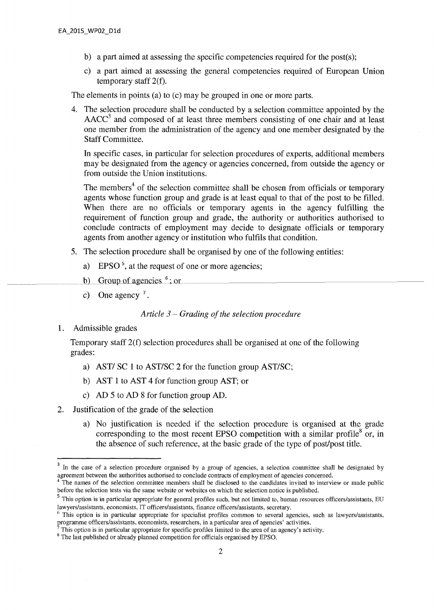- b) a part aimed at assessing the specific competencies required for the post(s);
- c) a part aimed at assessing the general competencies required of European Union temporary staff 2(f).

The elements in points (a) to (c) may be grouped in one or more parts.

4. The selection procedure shall be conducted by a selection committee appointed by the  $AACC<sup>3</sup>$  and composed of at least three members consisting of one chair and at least one member from the administration of the agency and one member designated by the Staff Committee.

In specific cases, in particular for selection procedures of experts, additional members may be designated from the agency or agencies concerned, from outside the agency or from outside the Union institutions.

The members<sup>4</sup> of the selection committee shall be chosen from officials or temporary agents whose function group and grade is at least equal to that of the post to be filled. When there are no officials or temporary agents in the agency fulfilling the requirement of function group and grade, the authority or authorities authorised to conclude contracts of employment may decide to designate officials or temporary agents from another agency or institution who fulfils that condition.

- 5. The selection procedure shall be organised by one of the following entities:
	- a) EPSO<sup>5</sup>, at the request of one or more agencies;
	- b) Group of agencies  $<sup>6</sup>$ ; or</sup>
	- c) One agency  $^7$ .

#### *Article 3 - Grading of the selection procedure*

1. Admissible grades

Temporary staff 2(f) selection procedures shall be organised at one of the following grades:

- a) AST/ SC 1 to AST/SC 2 for the function group AST/SC;
- b) AST 1 to AST 4 for function group AST; or
- c) AD 5 to AD 8 for function group AD.
- 2. Justification of the grade of the selection
	- a) No justification is needed if the selection procedure is organised at the grade corresponding to the most recent EPSO competition with a similar profile<sup>8</sup> or, in the absence of such reference, at the basic grade of the type of post/post title.

<sup>&</sup>lt;sup>3</sup> In the case of a selection procedure organised by a group of agencies, a selection committee shall be designated by agreement between the authorities authorised to conclude contracts of employment of agencies concerned.

<sup>&</sup>lt;sup>4</sup> The names of the selection committee members shall be disclosed to the candidates invited to interview or made public before the selection tests via the same website or websites on which the selection notice is published.

<sup>&</sup>lt;sup>5</sup> This option is in particular appropriate for general profiles such, but not limited to, human resources officers/assistants, EU lawyers/assistants, economists, IT officers/assistants, finance officers/assistants, secretary.

 $6$  This option is in particular appropriate for specialist profiles common to several agencies, such as lawyers/assistants, programme officers/assistants, economists, researchers, in a particular area of agencies' activities.

<sup>7</sup>This option is in particular appropriate for specific profiles limited to the area of an agency's activity.

<sup>&</sup>lt;sup>8</sup> The last published or already planned competition for officials organised by EPSO.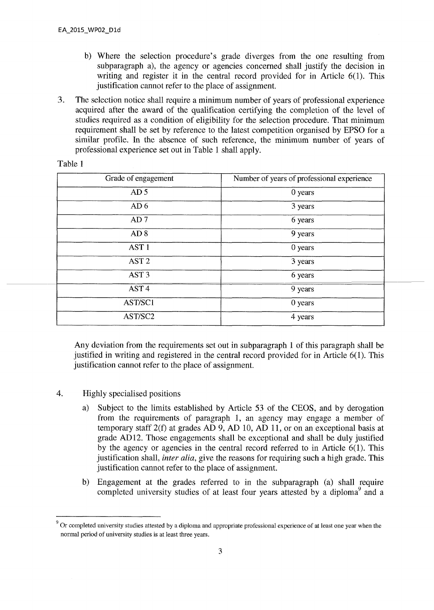- b) Where the selection procedure's grade diverges from the one resulting from subparagraph a), the agency or agencies concerned shall justify the decision in writing and register it in the central record provided for in Article 6(1). This justification cannot refer to the place of assignment.
- 3. The selection notice shall require a minimum number of years of professional experience acquired after the award of the qualification certifying the completion of the level of studies required as a condition of eligibility for the selection procedure. That minimum requirement shall be set by reference to the latest competition organised by EPSO for a similar profile. In the absence of such reference, the minimum number of years of professional experience set out in Table 1 shall apply.

| 'able |  |
|-------|--|
|-------|--|

| Grade of engagement | Number of years of professional experience |
|---------------------|--------------------------------------------|
| AD <sub>5</sub>     | 0 years                                    |
| AD <sub>6</sub>     | 3 years                                    |
| AD <sub>7</sub>     | 6 years                                    |
| AD 8                | 9 years                                    |
| AST <sub>1</sub>    | 0 years                                    |
| AST <sub>2</sub>    | 3 years                                    |
| AST <sub>3</sub>    | 6 years                                    |
| AST <sub>4</sub>    | 9 years                                    |
| AST/SC1             | 0 years                                    |
| AST/SC2             | 4 years                                    |

Any deviation from the requirements set out in subparagraph 1 of this paragraph shall be justified in writing and registered in the central record provided for in Article 6(1). This justification cannot refer to the place of assignment.

- 4. Highly specialised positions
	- a) Subject to the limits established by Article 53 of the CEOS, and by derogation from the requirements of paragraph 1, an agency may engage a member of temporary staff 2(f) at grades AD 9, AD 10, AD 11, or on an exceptional basis at grade AD 12. Those engagements shall be exceptional and shall be duly justified by the agency or agencies in the central record referred to in Article 6(1). This justification shall, *inter alia*, give the reasons for requiring such a high grade. This justification cannot refer to the place of assignment.
	- b) Engagement at the grades referred to in the subparagraph (a) shall require completed university studies of at least four years attested by a diploma<sup>9</sup> and a

<sup>&</sup>lt;sup>9</sup> Or completed university studies attested by a diploma and appropriate professional experience of at least one year when the normal period of university studies is at least three years.